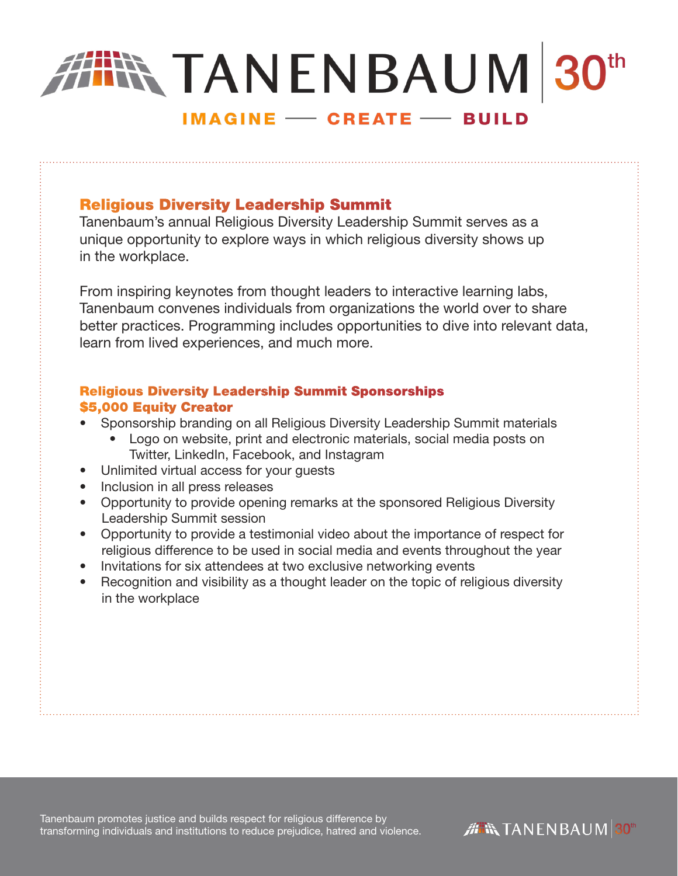# **TANENBAUM 30th IMAGINE - CREATE - BUILD**

# Religious Diversity Leadership Summit

Tanenbaum's annual Religious Diversity Leadership Summit serves as a unique opportunity to explore ways in which religious diversity shows up in the workplace.

From inspiring keynotes from thought leaders to interactive learning labs, Tanenbaum convenes individuals from organizations the world over to share better practices. Programming includes opportunities to dive into relevant data, learn from lived experiences, and much more.

## Religious Diversity Leadership Summit Sponsorships \$5,000 Equity Creator

- Sponsorship branding on all Religious Diversity Leadership Summit materials
	- Logo on website, print and electronic materials, social media posts on Twitter, LinkedIn, Facebook, and Instagram
- Unlimited virtual access for your guests
- Inclusion in all press releases
- Opportunity to provide opening remarks at the sponsored Religious Diversity Leadership Summit session
- Opportunity to provide a testimonial video about the importance of respect for religious difference to be used in social media and events throughout the year
- Invitations for six attendees at two exclusive networking events
- Recognition and visibility as a thought leader on the topic of religious diversity in the workplace

Tanenbaum promotes justice and builds respect for religious difference by transforming individuals and institutions to reduce prejudice, hatred and violence.